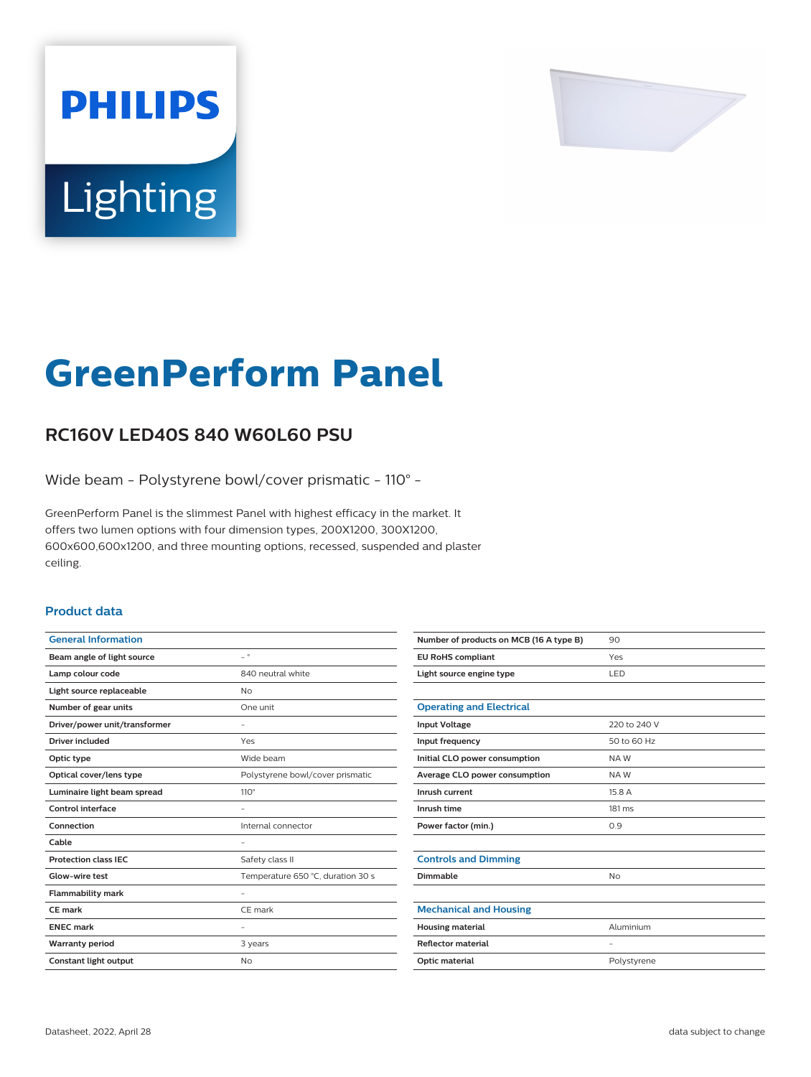

# Lighting

**PHILIPS** 

# **GreenPerform Panel**

## **RC160V LED40S 840 W60L60 PSU**

Wide beam - Polystyrene bowl/cover prismatic - 110° -

GreenPerform Panel is the slimmest Panel with highest efficacy in the market. It offers two lumen options with four dimension types, 200X1200, 300X1200, 600x600,600x1200, and three mounting options, recessed, suspended and plaster ceiling.

#### **Product data**

| <b>General Information</b>    |                                   |
|-------------------------------|-----------------------------------|
| Beam angle of light source    | $\overline{\phantom{0}}$ $\circ$  |
| Lamp colour code              | 840 neutral white                 |
| Light source replaceable      | <b>No</b>                         |
| Number of gear units          | One unit                          |
| Driver/power unit/transformer |                                   |
| Driver included               | Yes                               |
| Optic type                    | Wide beam                         |
| Optical cover/lens type       | Polystyrene bowl/cover prismatic  |
| Luminaire light beam spread   | $110^\circ$                       |
| Control interface             |                                   |
| Connection                    | Internal connector                |
| Cable                         | $\overline{\phantom{0}}$          |
| <b>Protection class IEC</b>   | Safety class II                   |
| Glow-wire test                | Temperature 650 °C, duration 30 s |
| <b>Flammability mark</b>      |                                   |
| <b>CE</b> mark                | CE mark                           |
| <b>ENEC mark</b>              |                                   |
| <b>Warranty period</b>        | 3 years                           |
| <b>Constant light output</b>  | No                                |
|                               |                                   |

| Number of products on MCB (16 A type B) | 90                |
|-----------------------------------------|-------------------|
| <b>EU RoHS compliant</b>                | Yes               |
| Light source engine type                | <b>LED</b>        |
|                                         |                   |
| <b>Operating and Electrical</b>         |                   |
| <b>Input Voltage</b>                    | 220 to 240 V      |
| Input frequency                         | 50 to 60 Hz       |
| Initial CLO power consumption           | NAW               |
| Average CLO power consumption           | NAW               |
| Inrush current                          | 15.8 A            |
| Inrush time                             | $181 \text{ ms}$  |
| Power factor (min.)                     | 0.9               |
|                                         |                   |
| <b>Controls and Dimming</b>             |                   |
| Dimmable                                | <b>No</b>         |
|                                         |                   |
| <b>Mechanical and Housing</b>           |                   |
| <b>Housing material</b>                 | Aluminium         |
| <b>Reflector material</b>               | $\qquad \qquad -$ |
| Optic material                          | Polystyrene       |
|                                         |                   |